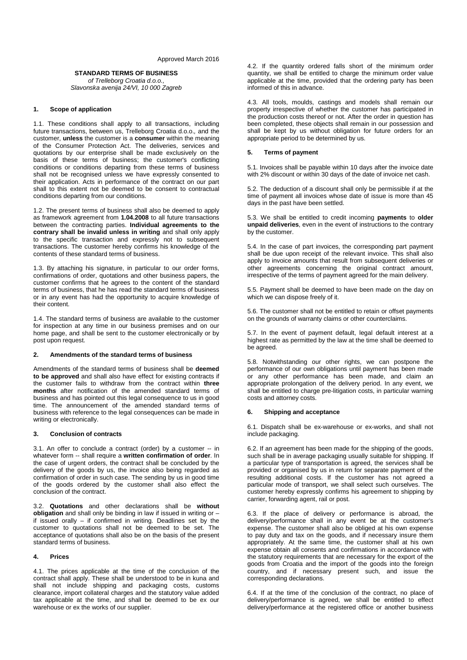Approved March 2016

**STANDARD TERMS OF BUSINESS** *of Trelleborg Croatia d.o.o., Slavonska avenija 24/VI, 10 000 Zagreb*

### **1. Scope of application**

1.1. These conditions shall apply to all transactions, including future transactions, between us, Trelleborg Croatia d.o.o.*,* and the customer, **unless** the customer is a **consumer** within the meaning of the Consumer Protection Act. The deliveries, services and quotations by our enterprise shall be made exclusively on the basis of these terms of business; the customer's conflicting conditions or conditions departing from these terms of business shall not be recognised unless we have expressly consented to their application. Acts in performance of the contract on our part shall to this extent not be deemed to be consent to contractual conditions departing from our conditions.

1.2. The present terms of business shall also be deemed to apply as framework agreement from **1.04.2008** to all future transactions between the contracting parties. **Individual agreements to the contrary shall be invalid unless in writing** and shall only apply to the specific transaction and expressly not to subsequent transactions. The customer hereby confirms his knowledge of the contents of these standard terms of business.

1.3. By attaching his signature, in particular to our order forms, confirmations of order, quotations and other business papers, the customer confirms that he agrees to the content of the standard terms of business, that he has read the standard terms of business or in any event has had the opportunity to acquire knowledge of their content.

1.4. The standard terms of business are available to the customer for inspection at any time in our business premises and on our home page, and shall be sent to the customer electronically or by post upon request.

### **2. Amendments of the standard terms of business**

Amendments of the standard terms of business shall be **deemed to be approved** and shall also have effect for existing contracts if the customer fails to withdraw from the contract within **three months** after notification of the amended standard terms of business and has pointed out this legal consequence to us in good time. The announcement of the amended standard terms of business with reference to the legal consequences can be made in writing or electronically.

### **3. Conclusion of contracts**

3.1. An offer to conclude a contract (order) by a customer -- in whatever form -- shall require a **written confirmation of order**. In the case of urgent orders, the contract shall be concluded by the delivery of the goods by us, the invoice also being regarded as confirmation of order in such case. The sending by us in good time of the goods ordered by the customer shall also effect the conclusion of the contract.

3.2. **Quotations** and other declarations shall be **without obligation** and shall only be binding in law if issued in writing or – if issued orally – if confirmed in writing. Deadlines set by the customer to quotations shall not be deemed to be set. The acceptance of quotations shall also be on the basis of the present standard terms of business.

#### **4. Prices**

4.1. The prices applicable at the time of the conclusion of the contract shall apply. These shall be understood to be in kuna and shall not include shipping and packaging costs, customs clearance, import collateral charges and the statutory value added tax applicable at the time, and shall be deemed to be ex our warehouse or ex the works of our supplier.

4.2. If the quantity ordered falls short of the minimum order quantity, we shall be entitled to charge the minimum order value applicable at the time, provided that the ordering party has been informed of this in advance.

4.3. All tools, moulds, castings and models shall remain our property irrespective of whether the customer has participated in the production costs thereof or not. After the order in question has been completed, these objects shall remain in our possession and shall be kept by us without obligation for future orders for an appropriate period to be determined by us.

### **5. Terms of payment**

5.1. Invoices shall be payable within 10 days after the invoice date with 2% discount or within 30 days of the date of invoice net cash.

5.2. The deduction of a discount shall only be permissible if at the time of payment all invoices whose date of issue is more than 45 days in the past have been settled.

5.3. We shall be entitled to credit incoming **payments** to **older unpaid deliveries**, even in the event of instructions to the contrary by the customer.

5.4. In the case of part invoices, the corresponding part payment shall be due upon receipt of the relevant invoice. This shall also apply to invoice amounts that result from subsequent deliveries or other agreements concerning the original contract amount, irrespective of the terms of payment agreed for the main delivery.

5.5. Payment shall be deemed to have been made on the day on which we can dispose freely of it.

5.6. The customer shall not be entitled to retain or offset payments on the grounds of warranty claims or other counterclaims.

5.7. In the event of payment default, legal default interest at a highest rate as permitted by the law at the time shall be deemed to be agreed.

5.8. Notwithstanding our other rights, we can postpone the performance of our own obligations until payment has been made or any other performance has been made, and claim an appropriate prolongation of the delivery period. In any event, we shall be entitled to charge pre-litigation costs, in particular warning costs and attorney costs.

#### **6. Shipping and acceptance**

6.1. Dispatch shall be ex-warehouse or ex-works, and shall not include packaging.

6.2. If an agreement has been made for the shipping of the goods, such shall be in average packaging usually suitable for shipping. If a particular type of transportation is agreed, the services shall be provided or organised by us in return for separate payment of the resulting additional costs. If the customer has not agreed a particular mode of transport, we shall select such ourselves. The customer hereby expressly confirms his agreement to shipping by carrier, forwarding agent, rail or post.

6.3. If the place of delivery or performance is abroad, the delivery/performance shall in any event be at the customer's expense. The customer shall also be obliged at his own expense to pay duty and tax on the goods, and if necessary insure them appropriately. At the same time, the customer shall at his own expense obtain all consents and confirmations in accordance with the statutory requirements that are necessary for the export of the goods from Croatia and the import of the goods into the foreign country, and if necessary present such, and issue the corresponding declarations.

6.4. If at the time of the conclusion of the contract, no place of delivery/performance is agreed, we shall be entitled to effect delivery/performance at the registered office or another business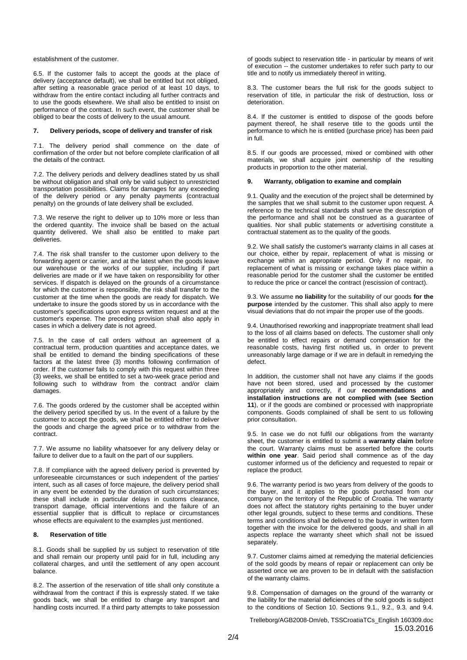establishment of the customer.

6.5. If the customer fails to accept the goods at the place of delivery (acceptance default), we shall be entitled but not obliged, after setting a reasonable grace period of at least 10 days, to withdraw from the entire contact including all further contracts and to use the goods elsewhere. We shall also be entitled to insist on performance of the contract. In such event, the customer shall be obliged to bear the costs of delivery to the usual amount.

#### **7. Delivery periods, scope of delivery and transfer of risk**

7.1. The delivery period shall commence on the date of confirmation of the order but not before complete clarification of all the details of the contract.

7.2. The delivery periods and delivery deadlines stated by us shall be without obligation and shall only be valid subject to unrestricted transportation possibilities. Claims for damages for any exceeding of the delivery period or any penalty payments (contractual penalty) on the grounds of late delivery shall be excluded.

7.3. We reserve the right to deliver up to 10% more or less than the ordered quantity. The invoice shall be based on the actual quantity delivered. We shall also be entitled to make part deliveries.

7.4. The risk shall transfer to the customer upon delivery to the forwarding agent or carrier, and at the latest when the goods leave our warehouse or the works of our supplier, including if part deliveries are made or if we have taken on responsibility for other services. If dispatch is delayed on the grounds of a circumstance for which the customer is responsible, the risk shall transfer to the customer at the time when the goods are ready for dispatch. We undertake to insure the goods stored by us in accordance with the customer's specifications upon express written request and at the customer's expense. The preceding provision shall also apply in cases in which a delivery date is not agreed.

7.5. In the case of call orders without an agreement of a contractual term, production quantities and acceptance dates, we shall be entitled to demand the binding specifications of these factors at the latest three (3) months following confirmation of order. If the customer fails to comply with this request within three (3) weeks, we shall be entitled to set a two-week grace period and following such to withdraw from the contract and/or claim damages.

7.6. The goods ordered by the customer shall be accepted within the delivery period specified by us. In the event of a failure by the customer to accept the goods, we shall be entitled either to deliver the goods and charge the agreed price or to withdraw from the contract.

7.7. We assume no liability whatsoever for any delivery delay or failure to deliver due to a fault on the part of our suppliers.

7.8. If compliance with the agreed delivery period is prevented by unforeseeable circumstances or such independent of the parties' intent, such as all cases of force majeure, the delivery period shall in any event be extended by the duration of such circumstances; these shall include in particular delays in customs clearance, transport damage, official interventions and the failure of an essential supplier that is difficult to replace or circumstances whose effects are equivalent to the examples just mentioned.

## **8. Reservation of title**

8.1. Goods shall be supplied by us subject to reservation of title and shall remain our property until paid for in full, including any collateral charges, and until the settlement of any open account balance.

8.2. The assertion of the reservation of title shall only constitute a withdrawal from the contract if this is expressly stated. If we take goods back, we shall be entitled to charge any transport and handling costs incurred. If a third party attempts to take possession

of goods subject to reservation title - in particular by means of writ of execution -- the customer undertakes to refer such party to our title and to notify us immediately thereof in writing.

8.3. The customer bears the full risk for the goods subject to reservation of title, in particular the risk of destruction, loss or deterioration.

8.4. If the customer is entitled to dispose of the goods before payment thereof, he shall reserve title to the goods until the performance to which he is entitled (purchase price) has been paid in full.

8.5. If our goods are processed, mixed or combined with other materials, we shall acquire joint ownership of the resulting products in proportion to the other material.

#### **9. Warranty, obligation to examine and complain**

9.1. Quality and the execution of the project shall be determined by the samples that we shall submit to the customer upon request. A reference to the technical standards shall serve the description of the performance and shall not be construed as a guarantee of qualities. Nor shall public statements or advertising constitute a contractual statement as to the quality of the goods.

9.2. We shall satisfy the customer's warranty claims in all cases at our choice, either by repair, replacement of what is missing or exchange within an appropriate period. Only if no repair, no replacement of what is missing or exchange takes place within a reasonable period for the customer shall the customer be entitled to reduce the price or cancel the contract (rescission of contract).

9.3. We assume **no liability** for the suitability of our goods **for the purpose** intended by the customer. This shall also apply to mere visual deviations that do not impair the proper use of the goods.

9.4. Unauthorised reworking and inappropriate treatment shall lead to the loss of all claims based on defects. The customer shall only be entitled to effect repairs or demand compensation for the reasonable costs, having first notified us, in order to prevent unreasonably large damage or if we are in default in remedying the defect.

In addition, the customer shall not have any claims if the goods have not been stored, used and processed by the customer appropriately and correctly, if our **recommendations and installation instructions are not complied with (see Section 11**), or if the goods are combined or processed with inappropriate components. Goods complained of shall be sent to us following prior consultation.

9.5. In case we do not fulfil our obligations from the warranty sheet, the customer is entitled to submit a **warranty claim** before the court. Warranty claims must be asserted before the courts **within one year**. Said period shall commence as of the day customer informed us of the deficiency and requested to repair or replace the product.

9.6. The warranty period is two years from delivery of the goods to the buyer, and it applies to the goods purchased from our company on the territory of the Republic of Croatia. The warranty does not affect the statutory rights pertaining to the buyer under other legal grounds, subject to these terms and conditions. These terms and conditions shall be delivered to the buyer in written form together with the invoice for the delivered goods, and shall in all aspects replace the warranty sheet which shall not be issued separately.

9.7. Customer claims aimed at remedying the material deficiencies of the sold goods by means of repair or replacement can only be asserted once we are proven to be in default with the satisfaction of the warranty claims.

9.8. Compensation of damages on the ground of the warranty or the liability for the material deficiencies of the sold goods is subject to the conditions of Section 10. Sections 9.1., 9.2., 9.3. and 9.4.

Trelleborg/AGB2008-Dm/eb, TSSCroatiaTCs\_English 160309.doc 15.03.2016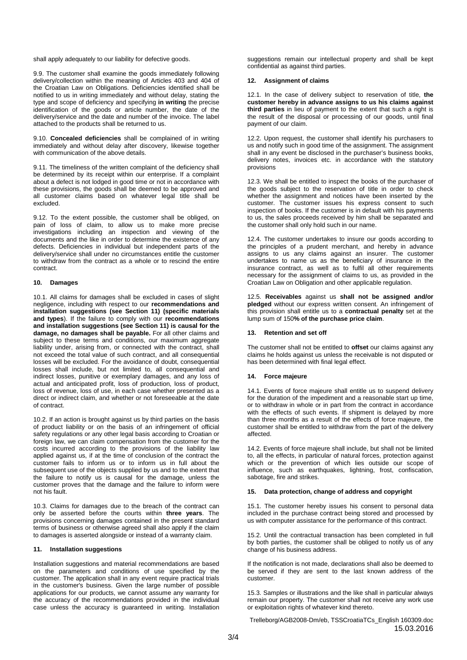shall apply adequately to our liability for defective goods.

9.9. The customer shall examine the goods immediately following delivery/collection within the meaning of Articles 403 and 404 of the Croatian Law on Obligations. Deficiencies identified shall be notified to us in writing immediately and without delay, stating the type and scope of deficiency and specifying **in writing** the precise identification of the goods or article number, the date of the delivery/service and the date and number of the invoice. The label attached to the products shall be returned to us.

9.10. **Concealed deficiencies** shall be complained of in writing immediately and without delay after discovery, likewise together with communication of the above details.

9.11. The timeliness of the written complaint of the deficiency shall be determined by its receipt within our enterprise. If a complaint about a defect is not lodged in good time or not in accordance with these provisions, the goods shall be deemed to be approved and all customer claims based on whatever legal title shall be excluded.

9.12. To the extent possible, the customer shall be obliged, on pain of loss of claim, to allow us to make more precise investigations including an inspection and viewing of the documents and the like in order to determine the existence of any defects. Deficiencies in individual but independent parts of the delivery/service shall under no circumstances entitle the customer to withdraw from the contract as a whole or to rescind the entire contract.

### **10. Damages**

10.1. All claims for damages shall be excluded in cases of slight negligence, including with respect to our **recommendations and installation suggestions (see Section 11) (specific materials and types**). If the failure to comply with our **recommendations and installation suggestions (see Section 11) is causal for the damage, no damages shall be payable.** For all other claims and subject to these terms and conditions, our maximum aggregate liability under, arising from, or connected with the contract, shall not exceed the total value of such contract, and all consequential losses will be excluded. For the avoidance of doubt, consequential losses shall include, but not limited to, all consequential and indirect losses, punitive or exemplary damages, and any loss of actual and anticipated profit, loss of production, loss of product, loss of revenue, loss of use, in each case whether presented as a direct or indirect claim, and whether or not foreseeable at the date of contract.

10.2. If an action is brought against us by third parties on the basis of product liability or on the basis of an infringement of official safety regulations or any other legal basis according to Croatian or foreign law, we can claim compensation from the customer for the costs incurred according to the provisions of the liability law applied against us, if at the time of conclusion of the contract the customer fails to inform us or to inform us in full about the subsequent use of the objects supplied by us and to the extent that the failure to notify us is causal for the damage, unless the customer proves that the damage and the failure to inform were not his fault.

10.3. Claims for damages due to the breach of the contract can only be asserted before the courts within **three years**. The provisions concerning damages contained in the present standard terms of business or otherwise agreed shall also apply if the claim to damages is asserted alongside or instead of a warranty claim.

### **11. Installation suggestions**

Installation suggestions and material recommendations are based on the parameters and conditions of use specified by the customer. The application shall in any event require practical trials in the customer's business. Given the large number of possible applications for our products, we cannot assume any warranty for the accuracy of the recommendations provided in the individual case unless the accuracy is guaranteed in writing. Installation suggestions remain our intellectual property and shall be kept confidential as against third parties.

### **12. Assignment of claims**

12.1. In the case of delivery subject to reservation of title, **the customer hereby in advance assigns to us his claims against third parties** in lieu of payment to the extent that such a right is the result of the disposal or processing of our goods, until final payment of our claim.

12.2. Upon request, the customer shall identify his purchasers to us and notify such in good time of the assignment. The assignment shall in any event be disclosed in the purchaser's business books, delivery notes, invoices etc. in accordance with the statutory provisions

12.3. We shall be entitled to inspect the books of the purchaser of the goods subject to the reservation of title in order to check whether the assignment and notices have been inserted by the customer. The customer issues his express consent to such inspection of books. If the customer is in default with his payments to us, the sales proceeds received by him shall be separated and the customer shall only hold such in our name.

12.4. The customer undertakes to insure our goods according to the principles of a prudent merchant, and hereby in advance assigns to us any claims against an insurer. The customer undertakes to name us as the beneficiary of insurance in the insurance contract, as well as to fulfil all other requirements necessary for the assignment of claims to us, as provided in the Croatian Law on Obligation and other applicable regulation.

12.5. **Receivables** against us **shall not be assigned and/or pledged** without our express written consent. An infringement of this provision shall entitle us to a **contractual penalty** set at the lump sum of 150**% of the purchase price claim**.

# **13. Retention and set off**

The customer shall not be entitled to **offset** our claims against any claims he holds against us unless the receivable is not disputed or has been determined with final legal effect.

## **14. Force majeure**

14.1. Events of force majeure shall entitle us to suspend delivery for the duration of the impediment and a reasonable start up time, or to withdraw in whole or in part from the contract in accordance with the effects of such events. If shipment is delayed by more than three months as a result of the effects of force majeure, the customer shall be entitled to withdraw from the part of the delivery affected.

14.2. Events of force majeure shall include, but shall not be limited to, all the effects, in particular of natural forces, protection against which or the prevention of which lies outside our scope of influence, such as earthquakes, lightning, frost, confiscation, sabotage, fire and strikes.

## **15. Data protection, change of address and copyright**

15.1. The customer hereby issues his consent to personal data included in the purchase contract being stored and processed by us with computer assistance for the performance of this contract.

15.2. Until the contractual transaction has been completed in full by both parties, the customer shall be obliged to notify us of any change of his business address.

If the notification is not made, declarations shall also be deemed to be served if they are sent to the last known address of the customer.

15.3. Samples or illustrations and the like shall in particular always remain our property. The customer shall not receive any work use or exploitation rights of whatever kind thereto.

Trelleborg/AGB2008-Dm/eb, TSSCroatiaTCs\_English 160309.doc 15.03.2016